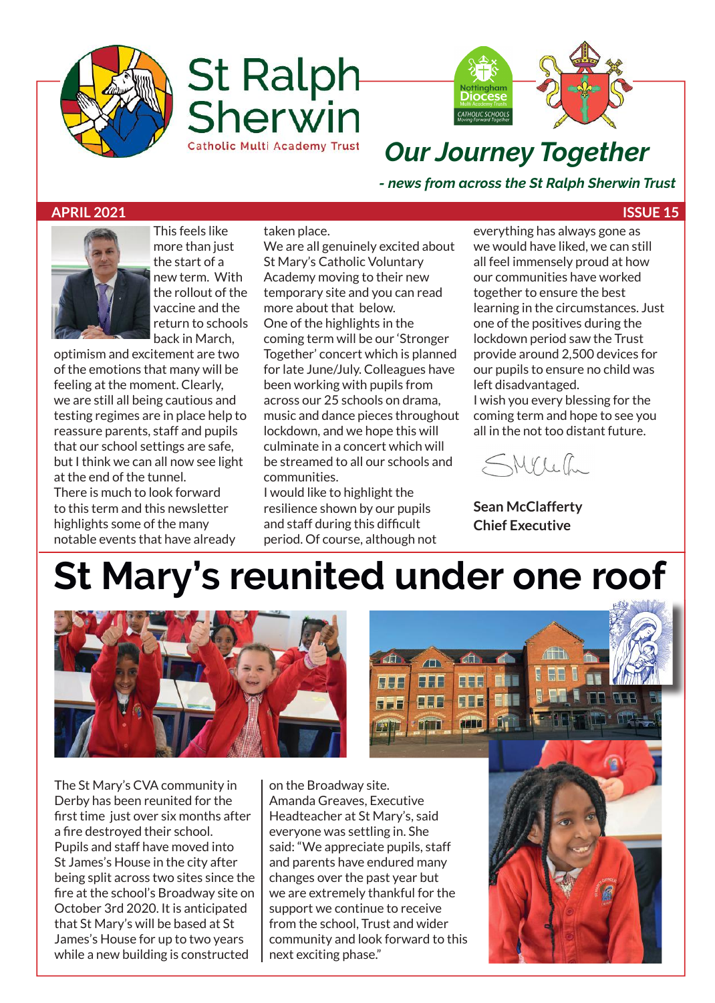





### *Our Journey Together*

*- news from across the St Ralph Sherwin Trust*

#### **APRIL 2021 ISSUE 15**



This feels like more than just the start of a new term. With the rollout of the vaccine and the return to schools back in March,

optimism and excitement are two of the emotions that many will be feeling at the moment. Clearly, we are still all being cautious and testing regimes are in place help to reassure parents, staff and pupils that our school settings are safe, but I think we can all now see light at the end of the tunnel. There is much to look forward to this term and this newsletter highlights some of the many notable events that have already

taken place. We are all genuinely excited about St Mary's Catholic Voluntary Academy moving to their new temporary site and you can read more about that below. One of the highlights in the coming term will be our 'Stronger Together' concert which is planned for late June/July. Colleagues have been working with pupils from across our 25 schools on drama, music and dance pieces throughout lockdown, and we hope this will culminate in a concert which will be streamed to all our schools and communities.

I would like to highlight the resilience shown by our pupils and staff during this difficult period. Of course, although not everything has always gone as we would have liked, we can still all feel immensely proud at how our communities have worked together to ensure the best learning in the circumstances. Just one of the positives during the lockdown period saw the Trust provide around 2,500 devices for our pupils to ensure no child was left disadvantaged.

I wish you every blessing for the coming term and hope to see you all in the not too distant future.



**Sean McClafferty Chief Executive**

## **St Mary's reunited under one roof**

**HEE** 

**BEB** 

n n

**AJA** 

555

**HHE** 

**FFF** 



The St Mary's CVA community in Derby has been reunited for the first time just over six months after a fire destroyed their school. Pupils and staff have moved into St James's House in the city after being split across two sites since the fire at the school's Broadway site on October 3rd 2020. It is anticipated that St Mary's will be based at St James's House for up to two years while a new building is constructed

on the Broadway site. Amanda Greaves, Executive Headteacher at St Mary's, said everyone was settling in. She said: "We appreciate pupils, staff and parents have endured many changes over the past year but we are extremely thankful for the support we continue to receive from the school, Trust and wider community and look forward to this next exciting phase."

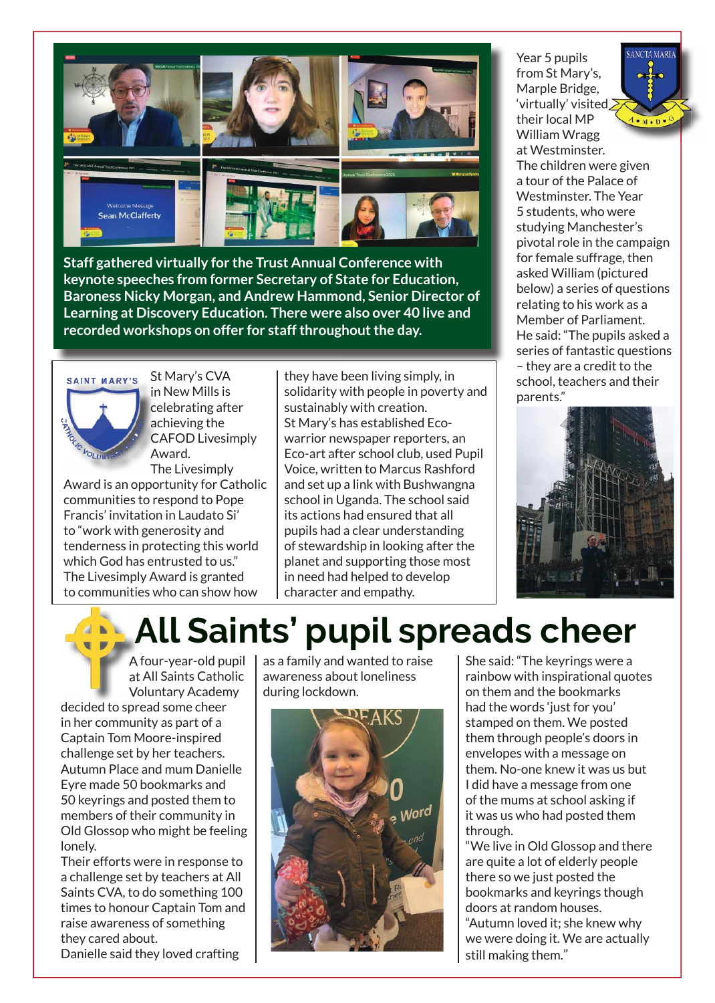

**Staff gathered virtually for the Trust Annual Conference with keynote speeches from former Secretary of State for Education, Baroness Nicky Morgan, and Andrew Hammond, Senior Director of Learning at Discovery Education. There were also over 40 live and recorded workshops on offer for staff throughout the day.**



St Mary's CVA in New Mills is celebrating after achieving the CAFOD Livesimply Award. The Livesimply

Award is an opportunity for Catholic communities to respond to Pope Francis' invitation in Laudato Si' to "work with generosity and tenderness in protecting this world which God has entrusted to us." The Livesimply Award is granted to communities who can show how

they have been living simply, in solidarity with people in poverty and sustainably with creation. St Mary's has established Ecowarrior newspaper reporters, an Eco-art after school club, used Pupil Voice, written to Marcus Rashford and set up a link with Bushwangna school in Uganda. The school said its actions had ensured that all pupils had a clear understanding of stewardship in looking after the planet and supporting those most in need had helped to develop character and empathy.

Year 5 pupils from St Mary's, Marple Bridge, 'virtually' visited their local MP William Wragg

**ANCTA MARI**  $A \cdot M \cdot D \cdot$ 

at Westminster. The children were given a tour of the Palace of Westminster. The Year 5 students, who were studying Manchester's pivotal role in the campaign for female suffrage, then asked William (pictured below) a series of questions relating to his work as a Member of Parliament. He said: "The pupils asked a series of fantastic questions – they are a credit to the school, teachers and their parents."



### **All Saints' pupil spreads cheer**

A four-year-old pupil at All Saints Catholic Voluntary Academy decided to spread some cheer in her community as part of a Captain Tom Moore-inspired challenge set by her teachers. Autumn Place and mum Danielle Eyre made 50 bookmarks and 50 keyrings and posted them to members of their community in Old Glossop who might be feeling lonely.

Their efforts were in response to a challenge set by teachers at All Saints CVA, to do something 100 times to honour Captain Tom and raise awareness of something they cared about. Danielle said they loved crafting

as a family and wanted to raise awareness about loneliness during lockdown.



She said: "The keyrings were a rainbow with inspirational quotes on them and the bookmarks had the words 'just for you' stamped on them. We posted them through people's doors in envelopes with a message on them. No-one knew it was us but I did have a message from one of the mums at school asking if it was us who had posted them through.

"We live in Old Glossop and there are quite a lot of elderly people there so we just posted the bookmarks and keyrings though doors at random houses. "Autumn loved it; she knew why we were doing it. We are actually still making them."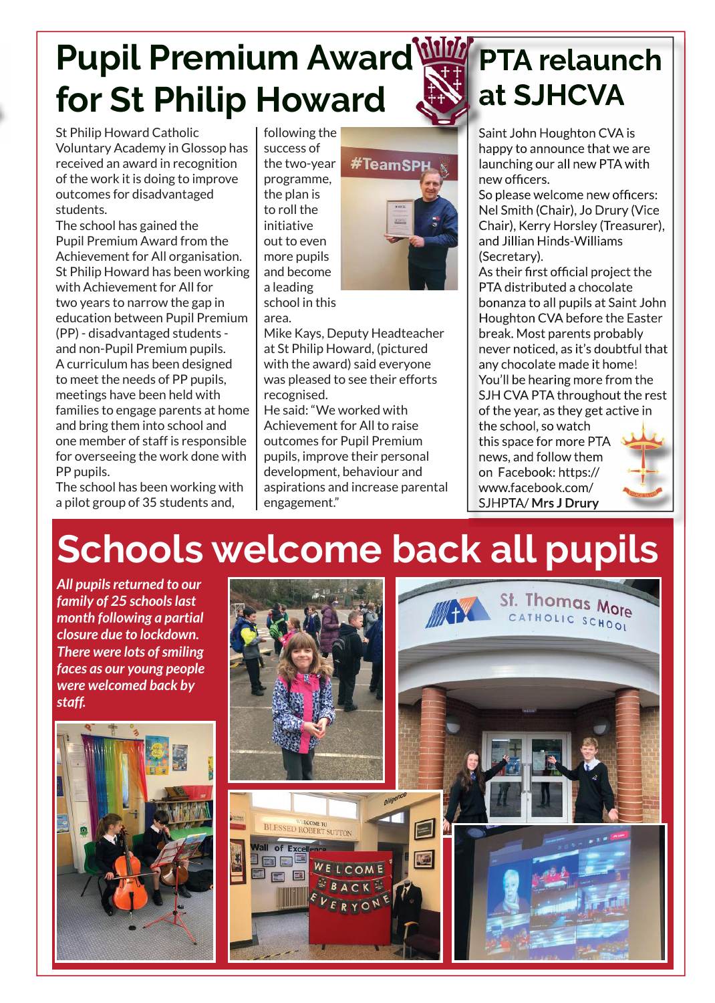### **Pupil Premium Award for St Philip Howard**

St Philip Howard Catholic Voluntary Academy in Glossop has received an award in recognition of the work it is doing to improve outcomes for disadvantaged students.

The school has gained the Pupil Premium Award from the Achievement for All organisation. St Philip Howard has been working with Achievement for All for two years to narrow the gap in education between Pupil Premium (PP) - disadvantaged students and non-Pupil Premium pupils. A curriculum has been designed to meet the needs of PP pupils, meetings have been held with families to engage parents at home and bring them into school and one member of staff is responsible for overseeing the work done with PP pupils.

The school has been working with a pilot group of 35 students and,

following the success of the two-year programme, the plan is to roll the initiative out to even more pupils and become a leading school in this area.



Mike Kays, Deputy Headteacher at St Philip Howard, (pictured with the award) said everyone was pleased to see their efforts recognised.

He said: "We worked with Achievement for All to raise outcomes for Pupil Premium pupils, improve their personal development, behaviour and aspirations and increase parental engagement."

### **PTA relaunch at SJHCVA**

Saint John Houghton CVA is happy to announce that we are launching our all new PTA with new officers.

So please welcome new officers: Nel Smith (Chair), Jo Drury (Vice Chair), Kerry Horsley (Treasurer), and Jillian Hinds-Williams (Secretary).

As their first official project the PTA distributed a chocolate bonanza to all pupils at Saint John Houghton CVA before the Easter break. Most parents probably never noticed, as it's doubtful that any chocolate made it home! You'll be hearing more from the SJH CVA PTA throughout the rest of the year, as they get active in

the school, so watch this space for more PTA news, and follow them on Facebook: https:// www.facebook.com/ SJHPTA/ **Mrs J Drury**



### **Schools welcome back all pupils**

*All pupils returned to our family of 25 schools last month following a partial closure due to lockdown. There were lots of smiling faces as our young people were welcomed back by staff.*